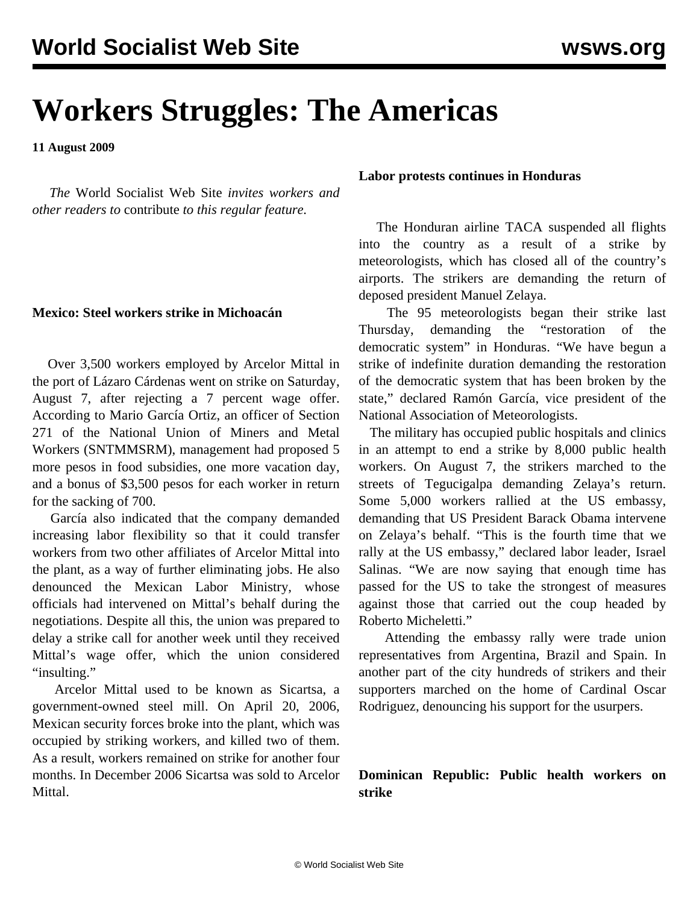# **Workers Struggles: The Americas**

**11 August 2009**

 *The* World Socialist Web Site *invites workers and other readers to* [contribute](/wsws/dd-formmailer/dd-formmailer.php) *to this regular feature.*

#### **Mexico: Steel workers strike in Michoacán**

 Over 3,500 workers employed by Arcelor Mittal in the port of Lázaro Cárdenas went on strike on Saturday, August 7, after rejecting a 7 percent wage offer. According to Mario García Ortiz, an officer of Section 271 of the National Union of Miners and Metal Workers (SNTMMSRM), management had proposed 5 more pesos in food subsidies, one more vacation day, and a bonus of \$3,500 pesos for each worker in return for the sacking of 700.

 García also indicated that the company demanded increasing labor flexibility so that it could transfer workers from two other affiliates of Arcelor Mittal into the plant, as a way of further eliminating jobs. He also denounced the Mexican Labor Ministry, whose officials had intervened on Mittal's behalf during the negotiations. Despite all this, the union was prepared to delay a strike call for another week until they received Mittal's wage offer, which the union considered "insulting."

 Arcelor Mittal used to be known as Sicartsa, a government-owned steel mill. On April 20, 2006, Mexican security forces broke into the plant, which was occupied by striking workers, and killed two of them. As a result, workers remained on strike for another four months. In December 2006 Sicartsa was sold to Arcelor Mittal.

#### **Labor protests continues in Honduras**

 The Honduran airline TACA suspended all flights into the country as a result of a strike by meteorologists, which has closed all of the country's airports. The strikers are demanding the return of deposed president Manuel Zelaya.

 The 95 meteorologists began their strike last Thursday, demanding the "restoration of the democratic system" in Honduras. "We have begun a strike of indefinite duration demanding the restoration of the democratic system that has been broken by the state," declared Ramón García, vice president of the National Association of Meteorologists.

 The military has occupied public hospitals and clinics in an attempt to end a strike by 8,000 public health workers. On August 7, the strikers marched to the streets of Tegucigalpa demanding Zelaya's return. Some 5,000 workers rallied at the US embassy, demanding that US President Barack Obama intervene on Zelaya's behalf. "This is the fourth time that we rally at the US embassy," declared labor leader, Israel Salinas. "We are now saying that enough time has passed for the US to take the strongest of measures against those that carried out the coup headed by Roberto Micheletti."

 Attending the embassy rally were trade union representatives from Argentina, Brazil and Spain. In another part of the city hundreds of strikers and their supporters marched on the home of Cardinal Oscar Rodriguez, denouncing his support for the usurpers.

### **Dominican Republic: Public health workers on strike**